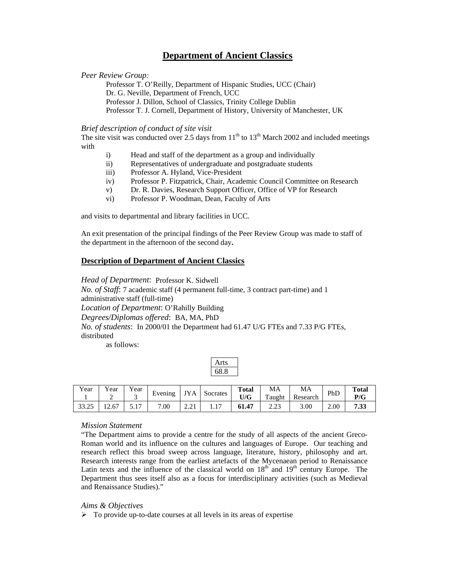# **Department of Ancient Classics**

### *Peer Review Group:*

Professor T. O'Reilly, Department of Hispanic Studies, UCC (Chair) Dr. G. Neville, Department of French, UCC Professor J. Dillon, School of Classics, Trinity College Dublin Professor T. J. Cornell, Department of History, University of Manchester, UK

#### *Brief description of conduct of site visit*

The site visit was conducted over 2.5 days from  $11<sup>th</sup>$  to  $13<sup>th</sup>$  March 2002 and included meetings with

- i) Head and staff of the department as a group and individually
- ii) Representatives of undergraduate and postgraduate students
- iii) Professor A. Hyland, Vice-President
- iv) Professor P. Fitzpatrick, Chair, Academic Council Committee on Research
- v) Dr. R. Davies, Research Support Officer, Office of VP for Research
- vi) Professor P. Woodman, Dean, Faculty of Arts

and visits to departmental and library facilities in UCC.

An exit presentation of the principal findings of the Peer Review Group was made to staff of the department in the afternoon of the second day**.** 

#### **Description of Department of Ancient Classics**

*Head of Department*: Professor K. Sidwell *No. of Staff*: 7 academic staff (4 permanent full-time, 3 contract part-time) and 1 administrative staff (full-time) *Location of Department*: O'Rahilly Building *Degrees/Diplomas offered*: BA, MA, PhD *No. of students*: In 2000/01 the Department had 61.47 U/G FTEs and 7.33 P/G FTEs, distributed

as follows:

| Year  | ′ear<br>∼ | $v_{\text{ear}}$      | Evening | <b>JYA</b> | Socrates | <b>Total</b><br>U/G | MA<br>Taught | MA<br>Research | PhD  | <b>Total</b><br>P/G |
|-------|-----------|-----------------------|---------|------------|----------|---------------------|--------------|----------------|------|---------------------|
| 33.25 | 12.67     | 1 <sub>7</sub><br>◡ ・ | .00     | 4.41       | .        | 61.47               | າ າາ<br>2.ZJ | 3.00           | 2.00 | 7.33                |

## *Mission Statement*

"The Department aims to provide a centre for the study of all aspects of the ancient Greco-Roman world and its influence on the cultures and languages of Europe. Our teaching and research reflect this broad sweep across language, literature, history, philosophy and art. Research interests range from the earliest artefacts of the Mycenaean period to Renaissance Latin texts and the influence of the classical world on  $18<sup>th</sup>$  and  $19<sup>th</sup>$  century Europe. The Department thus sees itself also as a focus for interdisciplinary activities (such as Medieval and Renaissance Studies)."

#### *Aims & Objectives*

 $\triangleright$  To provide up-to-date courses at all levels in its areas of expertise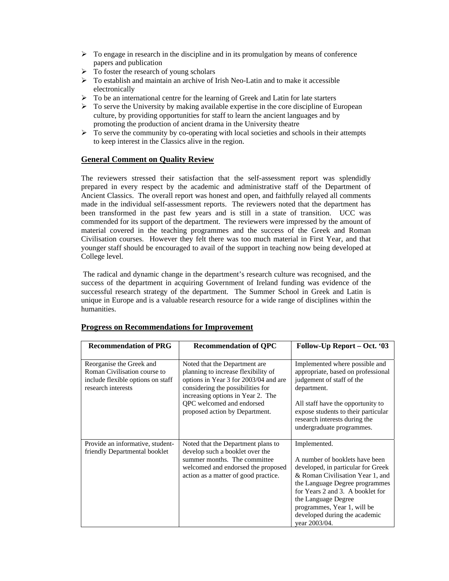- $\triangleright$  To engage in research in the discipline and in its promulgation by means of conference papers and publication
- $\triangleright$  To foster the research of young scholars
- $\triangleright$  To establish and maintain an archive of Irish Neo-Latin and to make it accessible electronically
- $\triangleright$  To be an international centre for the learning of Greek and Latin for late starters
- $\triangleright$  To serve the University by making available expertise in the core discipline of European culture, by providing opportunities for staff to learn the ancient languages and by promoting the production of ancient drama in the University theatre
- $\triangleright$  To serve the community by co-operating with local societies and schools in their attempts to keep interest in the Classics alive in the region.

# **General Comment on Quality Review**

The reviewers stressed their satisfaction that the self-assessment report was splendidly prepared in every respect by the academic and administrative staff of the Department of Ancient Classics. The overall report was honest and open, and faithfully relayed all comments made in the individual self-assessment reports. The reviewers noted that the department has been transformed in the past few years and is still in a state of transition. UCC was commended for its support of the department. The reviewers were impressed by the amount of material covered in the teaching programmes and the success of the Greek and Roman Civilisation courses. However they felt there was too much material in First Year, and that younger staff should be encouraged to avail of the support in teaching now being developed at College level.

 The radical and dynamic change in the department's research culture was recognised, and the success of the department in acquiring Government of Ireland funding was evidence of the successful research strategy of the department. The Summer School in Greek and Latin is unique in Europe and is a valuable research resource for a wide range of disciplines within the humanities.

| <b>Recommendation of PRG</b>                                                                                        | <b>Recommendation of QPC</b>                                                                                                                                                                                                                           | Follow-Up Report – Oct. '03                                                                                                                                                                                                                                                                            |
|---------------------------------------------------------------------------------------------------------------------|--------------------------------------------------------------------------------------------------------------------------------------------------------------------------------------------------------------------------------------------------------|--------------------------------------------------------------------------------------------------------------------------------------------------------------------------------------------------------------------------------------------------------------------------------------------------------|
| Reorganise the Greek and<br>Roman Civilisation course to<br>include flexible options on staff<br>research interests | Noted that the Department are<br>planning to increase flexibility of<br>options in Year 3 for 2003/04 and are<br>considering the possibilities for<br>increasing options in Year 2. The<br>QPC welcomed and endorsed<br>proposed action by Department. | Implemented where possible and<br>appropriate, based on professional<br>judgement of staff of the<br>department.<br>All staff have the opportunity to<br>expose students to their particular<br>research interests during the<br>undergraduate programmes.                                             |
| Provide an informative, student-<br>friendly Departmental booklet                                                   | Noted that the Department plans to<br>develop such a booklet over the<br>summer months. The committee<br>welcomed and endorsed the proposed<br>action as a matter of good practice.                                                                    | Implemented.<br>A number of booklets have been<br>developed, in particular for Greek<br>& Roman Civilisation Year 1, and<br>the Language Degree programmes<br>for Years 2 and 3. A booklet for<br>the Language Degree<br>programmes, Year 1, will be<br>developed during the academic<br>vear 2003/04. |

## **Progress on Recommendations for Improvement**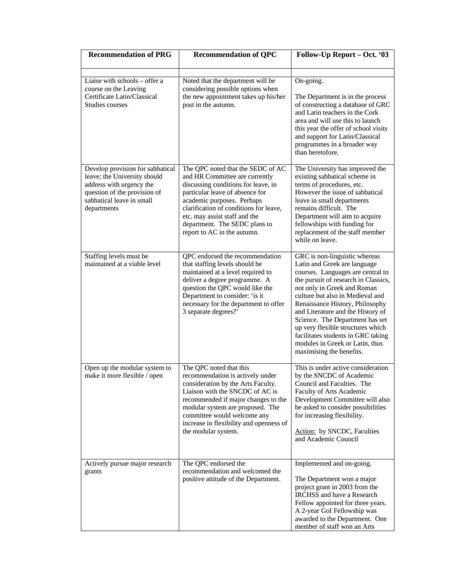| <b>Recommendation of PRG</b>                                                                                                                                             | <b>Recommendation of QPC</b>                                                                                                                                                                                                                                                                                           | Follow-Up Report – Oct. '03                                                                                                                                                                                                                                                                                                                                                                                                                                        |  |  |
|--------------------------------------------------------------------------------------------------------------------------------------------------------------------------|------------------------------------------------------------------------------------------------------------------------------------------------------------------------------------------------------------------------------------------------------------------------------------------------------------------------|--------------------------------------------------------------------------------------------------------------------------------------------------------------------------------------------------------------------------------------------------------------------------------------------------------------------------------------------------------------------------------------------------------------------------------------------------------------------|--|--|
| Liaise with schools - offer a<br>course on the Leaving<br>Certificate Latin/Classical<br>Studies courses                                                                 | Noted that the department will be<br>considering possible options when<br>the new appointment takes up his/her<br>post in the autumn.                                                                                                                                                                                  | On-going.<br>The Department is in the process<br>of constructing a database of GRC<br>and Latin teachers in the Cork<br>area and will use this to launch<br>this year the offer of school visits<br>and support for Latin/Classical<br>programmes in a broader way<br>than heretofore.                                                                                                                                                                             |  |  |
| Develop provision for sabbatical<br>leave; the University should<br>address with urgency the<br>question of the provision of<br>sabbatical leave in small<br>departments | The QPC noted that the SEDC of AC<br>and HR Committee are currently<br>discussing conditions for leave, in<br>particular leave of absence for<br>academic purposes. Perhaps<br>clarification of conditions for leave,<br>etc. may assist staff and the<br>department. The SEDC plans to<br>report to AC in the autumn. | The University has improved the<br>existing sabbatical scheme in<br>terms of procedures, etc.<br>However the issue of sabbatical<br>leave in small departments<br>remains difficult. The<br>Department will aim to acquire<br>fellowships with funding for<br>replacement of the staff member<br>while on leave.                                                                                                                                                   |  |  |
| Staffing levels must be<br>maintained at a viable level                                                                                                                  | QPC endorsed the recommendation<br>that staffing levels should be<br>maintained at a level required to<br>deliver a degree programme. A<br>question the QPC would like the<br>Department to consider: 'is it<br>necessary for the department to offer<br>3 separate degrees?'                                          | GRC is non-linguistic whereas<br>Latin and Greek are language<br>courses. Languages are central to<br>the pursuit of research in Classics,<br>not only in Greek and Roman<br>culture but also in Medieval and<br>Renaissance History, Philosophy<br>and Literature and the History of<br>Science. The Department has set<br>up very flexible structures which<br>facilitates students in GRC taking<br>modules in Greek or Latin, thus<br>maximising the benefits. |  |  |
| Open up the modular system to<br>make it more flexible / open                                                                                                            | The QPC noted that this<br>recommendation is actively under<br>consideration by the Arts Faculty.<br>Liaison with the SNCDC of AC is<br>recommended if major changes to the<br>modular system are proposed. The<br>committee would welcome any<br>increase in flexibility and openness of<br>the modular system.       | This is under active consideration<br>by the SNCDC of Academic<br>Council and Faculties. The<br>Faculty of Arts Academic<br>Development Committee will also<br>be asked to consider possibilities<br>for increasing flexibility.<br>Action: by SNCDC, Faculties<br>and Academic Council                                                                                                                                                                            |  |  |
| Actively pursue major research<br>grants                                                                                                                                 | The QPC endorsed the<br>recommendation and welcomed the<br>positive attitude of the Department.                                                                                                                                                                                                                        | Implemented and on-going.<br>The Department won a major<br>project grant in 2003 from the<br><b>IRCHSS</b> and have a Research<br>Fellow appointed for three years.<br>A 2-year GoI Fellowship was<br>awarded to the Department. One<br>member of staff won an Arts                                                                                                                                                                                                |  |  |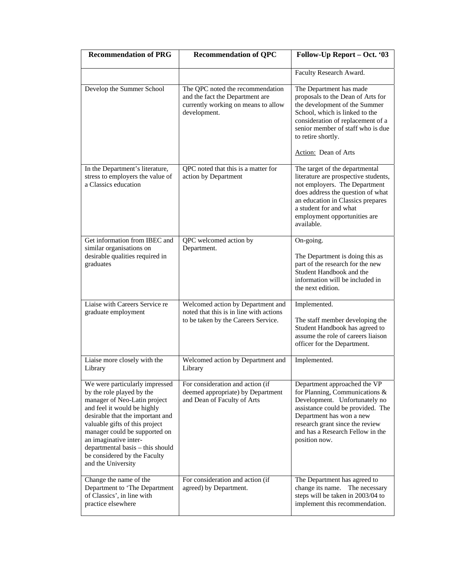| <b>Recommendation of PRG</b>                                                                                                                                                                                                                                                                                                                         | <b>Recommendation of QPC</b>                                                                                               | Follow-Up Report - Oct. '03                                                                                                                                                                                                                               |  |  |
|------------------------------------------------------------------------------------------------------------------------------------------------------------------------------------------------------------------------------------------------------------------------------------------------------------------------------------------------------|----------------------------------------------------------------------------------------------------------------------------|-----------------------------------------------------------------------------------------------------------------------------------------------------------------------------------------------------------------------------------------------------------|--|--|
|                                                                                                                                                                                                                                                                                                                                                      |                                                                                                                            | Faculty Research Award.                                                                                                                                                                                                                                   |  |  |
| Develop the Summer School                                                                                                                                                                                                                                                                                                                            | The QPC noted the recommendation<br>and the fact the Department are<br>currently working on means to allow<br>development. | The Department has made<br>proposals to the Dean of Arts for<br>the development of the Summer<br>School, which is linked to the<br>consideration of replacement of a<br>senior member of staff who is due<br>to retire shortly.<br>Action: Dean of Arts   |  |  |
| In the Department's literature,<br>stress to employers the value of<br>a Classics education                                                                                                                                                                                                                                                          | QPC noted that this is a matter for<br>action by Department                                                                | The target of the departmental<br>literature are prospective students,<br>not employers. The Department<br>does address the question of what<br>an education in Classics prepares<br>a student for and what<br>employment opportunities are<br>available. |  |  |
| Get information from IBEC and<br>similar organisations on<br>desirable qualities required in<br>graduates                                                                                                                                                                                                                                            | QPC welcomed action by<br>Department.                                                                                      | On-going.<br>The Department is doing this as<br>part of the research for the new<br>Student Handbook and the<br>information will be included in<br>the next edition.                                                                                      |  |  |
| Liaise with Careers Service re<br>graduate employment                                                                                                                                                                                                                                                                                                | Welcomed action by Department and<br>noted that this is in line with actions<br>to be taken by the Careers Service.        | Implemented.<br>The staff member developing the<br>Student Handbook has agreed to<br>assume the role of careers liaison<br>officer for the Department.                                                                                                    |  |  |
| Liaise more closely with the<br>Library                                                                                                                                                                                                                                                                                                              | Welcomed action by Department and<br>Library                                                                               | Implemented.                                                                                                                                                                                                                                              |  |  |
| We were particularly impressed<br>by the role played by the<br>manager of Neo-Latin project<br>and feel it would be highly<br>desirable that the important and<br>valuable gifts of this project<br>manager could be supported on<br>an imaginative inter-<br>departmental basis - this should<br>be considered by the Faculty<br>and the University | For consideration and action (if<br>deemed appropriate) by Department<br>and Dean of Faculty of Arts                       | Department approached the VP<br>for Planning, Communications &<br>Development. Unfortunately no<br>assistance could be provided. The<br>Department has won a new<br>research grant since the review<br>and has a Research Fellow in the<br>position now.  |  |  |
| Change the name of the<br>Department to 'The Department<br>of Classics', in line with<br>practice elsewhere                                                                                                                                                                                                                                          | For consideration and action (if<br>agreed) by Department.                                                                 | The Department has agreed to<br>change its name. The necessary<br>steps will be taken in 2003/04 to<br>implement this recommendation.                                                                                                                     |  |  |